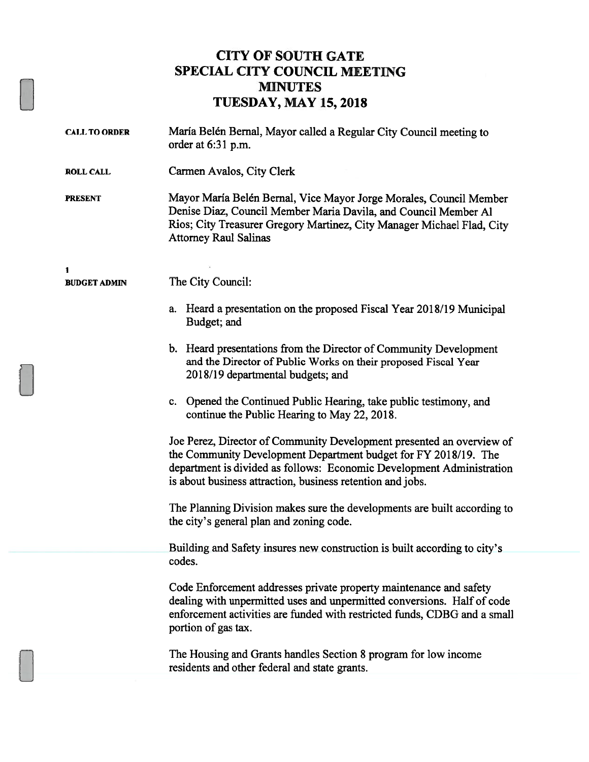### CITY OF SOUTH GATE SPECIAL CITY COUNCIL MEETING MINUTES TUESDAY, MAY 15, 2018

| <b>CALL TO ORDER</b> | María Belén Bernal, Mayor called a Regular City Council meeting to<br>order at 6:31 p.m.                                                                                                                                                                                        |
|----------------------|---------------------------------------------------------------------------------------------------------------------------------------------------------------------------------------------------------------------------------------------------------------------------------|
| <b>ROLL CALL</b>     | Carmen Avalos, City Clerk                                                                                                                                                                                                                                                       |
| <b>PRESENT</b>       | Mayor María Belén Bernal, Vice Mayor Jorge Morales, Council Member<br>Denise Diaz, Council Member Maria Davila, and Council Member Al<br>Rios; City Treasurer Gregory Martinez, City Manager Michael Flad, City<br><b>Attorney Raul Salinas</b>                                 |
| 1                    |                                                                                                                                                                                                                                                                                 |
| <b>BUDGET ADMIN</b>  | The City Council:                                                                                                                                                                                                                                                               |
|                      | a. Heard a presentation on the proposed Fiscal Year 2018/19 Municipal<br>Budget; and                                                                                                                                                                                            |
|                      | b. Heard presentations from the Director of Community Development<br>and the Director of Public Works on their proposed Fiscal Year<br>2018/19 departmental budgets; and                                                                                                        |
|                      | c. Opened the Continued Public Hearing, take public testimony, and<br>continue the Public Hearing to May 22, 2018.                                                                                                                                                              |
|                      | Joe Perez, Director of Community Development presented an overview of<br>the Community Development Department budget for FY 2018/19. The<br>department is divided as follows: Economic Development Administration<br>is about business attraction, business retention and jobs. |
|                      | The Planning Division makes sure the developments are built according to<br>the city's general plan and zoning code.                                                                                                                                                            |
|                      | Building and Safety insures new construction is built according to city's                                                                                                                                                                                                       |
|                      | codes.                                                                                                                                                                                                                                                                          |
|                      | Code Enforcement addresses private property maintenance and safety<br>dealing with unpermitted uses and unpermitted conversions. Half of code<br>enforcement activities are funded with restricted funds, CDBG and a small<br>portion of gas tax.                               |
|                      | The Housing and Grants handles Section 8 program for low income<br>residents and other federal and state grants.                                                                                                                                                                |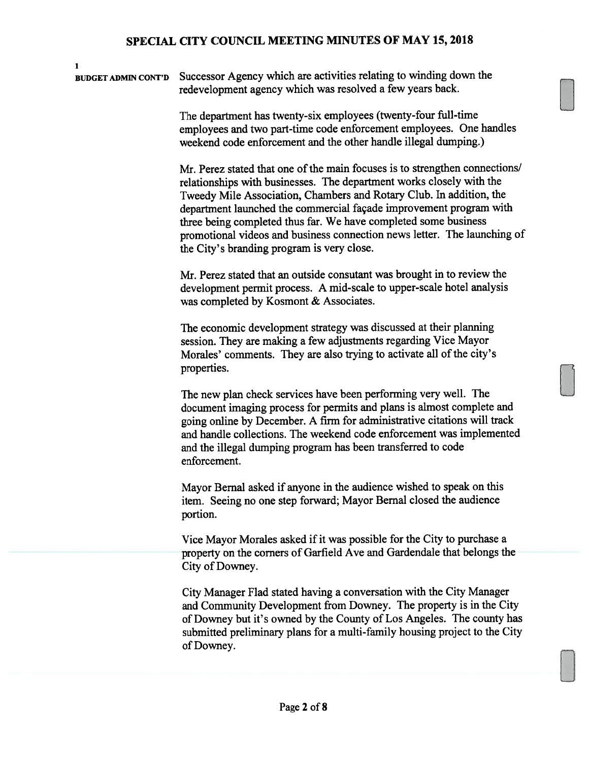BUDGET ADMIN CONT'D Successor Agency which are activities relating to winding down the redevelopment agency which was resolved a few years back.

1

The department has twenty-six employees (twenty-four full-time employees and two part-time code enforcement employees. One handles weekend code enforcement and the other handle illegal dumping.)

Mr. Perez stated that one of the main focuses is to strengthen connections/ relationships with businesses. The department works closely with the Tweedy Mile Association, Chambers and Rotary Club. In addition, the department launched the commercial façade improvement program with three being completed thus far. We have completed some business promotional videos and business connection news letter. The launching of the City's branding program is very close.

Mr. Perez stated that an outside consutant was brought in to review the development permit process. A mid-scale to upper-scale hotel analysis was completed by Kosmont & Associates.

The economic development strategy was discussed at their planning session. They are making a few adjustments regarding Vice Mayor Morales' comments. They are also trying to activate all of the city's properties.

The new plan check services have been performing very well. The document imaging process for permits and plans is almost complete and going online by December. A firm for administrative citations will track and handle collections. The weekend code enforcement was implemented and the illegal dumping program has been transferred to code enforcement.

Mayor Bernal asked if anyone in the audience wished to speak on this item. Seeing no one step forward; Mayor Bernal closed the audience portion.

Vice Mayor Morales asked if it was possible for the City to purchase a property on the corners of Garfield Ave and Gardendale that belongs the City of Downey.

City Manager Flad stated having a conversation with the City Manager and Community Development from Downey. The property is in the City of Downey but it's owned by the County of Los Angeles. The county has submitted preliminary plans for a multi-family housing project to the City of Downey.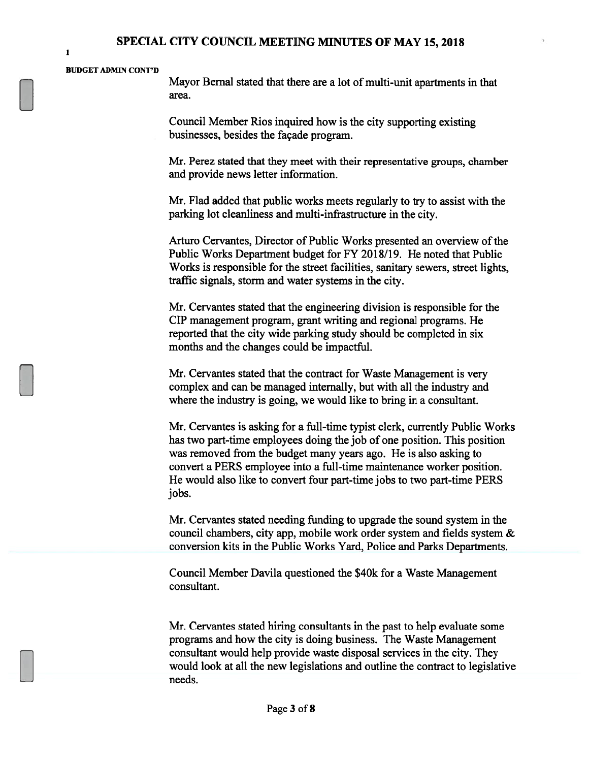#### BUDGET ADMIN CONT'D

Mayor Bernal stated that there are a lot of multi-unit apartments in that area.

Council Member Rios inquired how is the city supporting existing businesses, besides the façade program.

Mr. Perez stated that they meet with their representative groups, chamber and provide news letter information.

Mr. Flad added that public works meets regularly to try to assist with the parking lot cleanliness and multi-infrastructure in the city.

Arturo Cervantes, Director of Public Works presented an overview of the Public Works Department budget for FY 2018/19. He noted that Public Works is responsible for the street facilities, sanitary sewers, street lights, traffic signals, storm and water systems in the city.

Mr. Cervantes stated that the engineering division is responsible for the CIP management program, grant writing and regional programs. He reported that the city wide parking study should be completed in six months and the changes could be impactful.

Mr. Cervantes stated that the contract for Waste Management is very complex and can be managed internally, but with all the industry and where the industry is going, we would like to bring in a consultant.

Mr. Cervantes is asking for a full-time typist clerk, currently Public Works has two part-time employees doing the job of one position. This position was removed from the budget many years ago. He is also asking to convert a PERS employee into a full-time maintenance worker position. He would also like to convert four part-time jobs to two part-time PERS jobs.

Mr. Cervantes stated needing funding to upgrade the sound system in the council chambers, city app, mobile work order system and fields system & conversion kits in the Public Works Yard, Police and Parks Departments.

Council Member Davila questioned the \$40k for a Waste Management consultant.

Mr. Cervantes stated hiring consultants in the past to help evaluate some programs and how the city is doing business. The Waste Management consultant would help provide waste disposal services in the city. They would look at all the new legislations and outline the contract to legislative needs.

1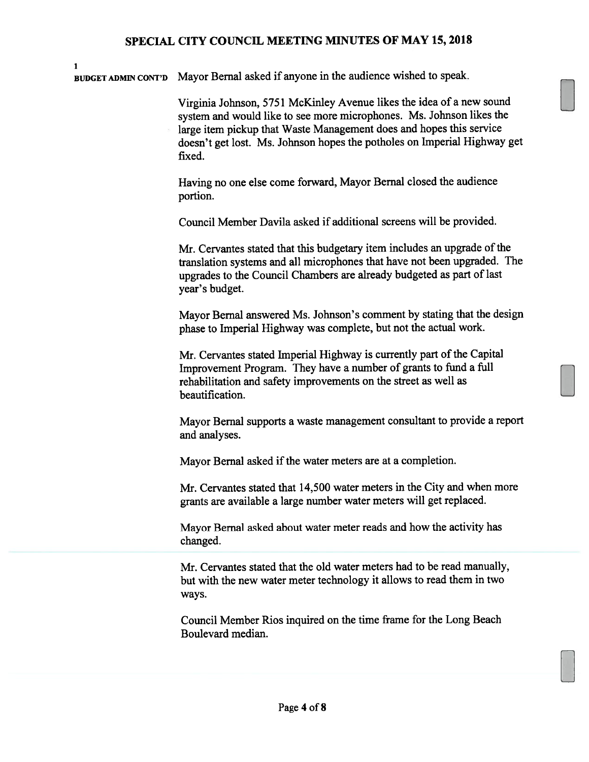BUDGET ADMIN cONT'D Mayor Bernal asked if anyone in the audience wished to speak.

I

Virginia Johnson, 5751 McKinley Avenue likes the idea of a new sound system and would like to see more microphones. Ms. Johnson likes the large item pickup that Waste Management does and hopes this service doesn't get lost. Ms. Johnson hopes the potholes on Imperial Highway get fixed.

Having no one else come forward, Mayor Bemal closed the audience portion.

Council Member Davila asked if additional screens will be provided.

Mr. Cervantes stated that this budgetary item includes an upgrade of the translation systems and all microphones that have not been upgraded. The upgrades to the Council Chambers are already budgeted as part of last year's budget.

Mayor Bemal answered Ms. Johnson's comment by stating that the design phase to Imperial Highway was complete, but not the actual work.

Mr. Cervantes stated Imperial Highway is currently part of the Capital Improvement Program. They have a number of grants to fund a full rehabilitation and safety improvements on the street as well as beautification.

Mayor Bernal supports a waste management consultant to provide a report and analyses.

Mayor Bernal asked if the water meters are at a completion.

Mr. Cervantes stated that 14,500 water meters in the City and when more grants are available a large number water meters will get replaced.

Mayor Bernal asked about water meter reads and how the activity has changed.

Mr. Cervantes stated that the old water meters had to be read manually, but with the new water meter technology it allows to read them in two ways.

Council Member Rios inquired on the time frame for the Long Beach Boulevard median.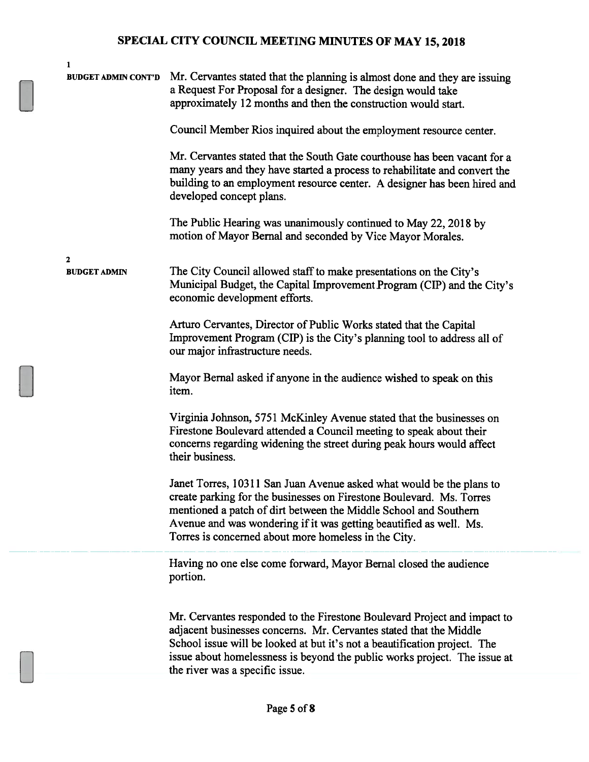| <b>BUDGET ADMIN CONT'D</b>          | Mr. Cervantes stated that the planning is almost done and they are issuing<br>a Request For Proposal for a designer. The design would take<br>approximately 12 months and then the construction would start.                                                                                                                                   |
|-------------------------------------|------------------------------------------------------------------------------------------------------------------------------------------------------------------------------------------------------------------------------------------------------------------------------------------------------------------------------------------------|
|                                     | Council Member Rios inquired about the employment resource center.                                                                                                                                                                                                                                                                             |
|                                     | Mr. Cervantes stated that the South Gate courthouse has been vacant for a<br>many years and they have started a process to rehabilitate and convert the<br>building to an employment resource center. A designer has been hired and<br>developed concept plans.                                                                                |
|                                     | The Public Hearing was unanimously continued to May 22, 2018 by<br>motion of Mayor Bernal and seconded by Vice Mayor Morales.                                                                                                                                                                                                                  |
| $\mathbf{2}$<br><b>BUDGET ADMIN</b> | The City Council allowed staff to make presentations on the City's<br>Municipal Budget, the Capital Improvement Program (CIP) and the City's<br>economic development efforts.                                                                                                                                                                  |
|                                     | Arturo Cervantes, Director of Public Works stated that the Capital<br>Improvement Program (CIP) is the City's planning tool to address all of<br>our major infrastructure needs.                                                                                                                                                               |
|                                     | Mayor Bernal asked if anyone in the audience wished to speak on this<br>item.                                                                                                                                                                                                                                                                  |
|                                     | Virginia Johnson, 5751 McKinley Avenue stated that the businesses on<br>Firestone Boulevard attended a Council meeting to speak about their<br>concerns regarding widening the street during peak hours would affect<br>their business.                                                                                                        |
|                                     | Janet Torres, 10311 San Juan Avenue asked what would be the plans to<br>create parking for the businesses on Firestone Boulevard. Ms. Torres<br>mentioned a patch of dirt between the Middle School and Southern<br>Avenue and was wondering if it was getting beautified as well. Ms.<br>Torres is concerned about more homeless in the City. |
|                                     | Having no one else come forward, Mayor Bernal closed the audience<br>portion.                                                                                                                                                                                                                                                                  |
|                                     | Mr. Cervantes responded to the Firestone Boulevard Project and impact to<br>adjacent businesses concerns. Mr. Cervantes stated that the Middle<br>School issue will be looked at but it's not a beautification project. The<br>issue about homelessness is beyond the public works project. The issue at<br>the river was a specific issue.    |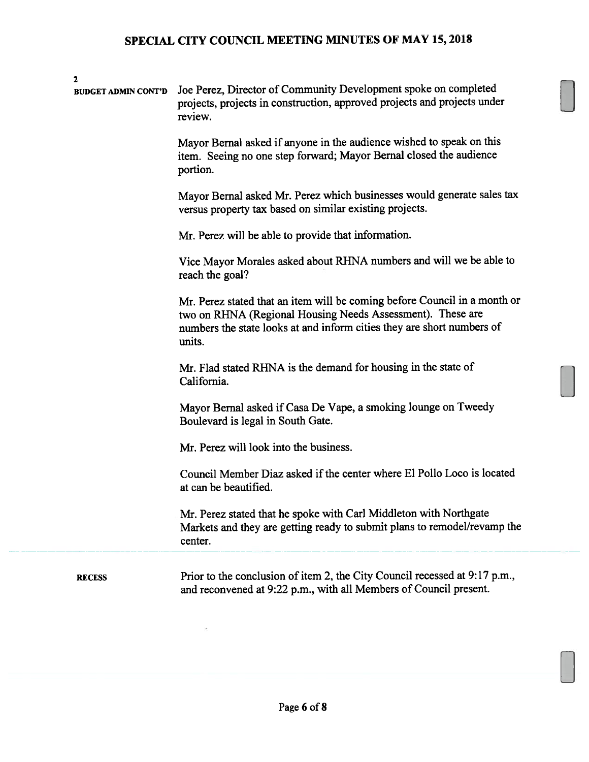| 2<br><b>BUDGET ADMIN CONT'D</b> | Joe Perez, Director of Community Development spoke on completed<br>projects, projects in construction, approved projects and projects under<br>review.<br>Mayor Bernal asked if anyone in the audience wished to speak on this<br>item. Seeing no one step forward; Mayor Bernal closed the audience<br>portion.<br>Mayor Bernal asked Mr. Perez which businesses would generate sales tax<br>versus property tax based on similar existing projects.<br>Mr. Perez will be able to provide that information.<br>Vice Mayor Morales asked about RHNA numbers and will we be able to<br>reach the goal?<br>Mr. Perez stated that an item will be coming before Council in a month or<br>two on RHNA (Regional Housing Needs Assessment). These are<br>numbers the state looks at and inform cities they are short numbers of<br>units.<br>Mr. Flad stated RHNA is the demand for housing in the state of<br>California.<br>Mayor Bernal asked if Casa De Vape, a smoking lounge on Tweedy<br>Boulevard is legal in South Gate.<br>Mr. Perez will look into the business.<br>Council Member Diaz asked if the center where El Pollo Loco is located<br>at can be beautified.<br>Mr. Perez stated that he spoke with Carl Middleton with Northgate<br>Markets and they are getting ready to submit plans to remodel/revamp the |
|---------------------------------|----------------------------------------------------------------------------------------------------------------------------------------------------------------------------------------------------------------------------------------------------------------------------------------------------------------------------------------------------------------------------------------------------------------------------------------------------------------------------------------------------------------------------------------------------------------------------------------------------------------------------------------------------------------------------------------------------------------------------------------------------------------------------------------------------------------------------------------------------------------------------------------------------------------------------------------------------------------------------------------------------------------------------------------------------------------------------------------------------------------------------------------------------------------------------------------------------------------------------------------------------------------------------------------------------------------------------|
| <b>RECESS</b>                   | center.<br>Prior to the conclusion of item 2, the City Council recessed at 9:17 p.m.,<br>and reconvened at 9:22 p.m., with all Members of Council present.                                                                                                                                                                                                                                                                                                                                                                                                                                                                                                                                                                                                                                                                                                                                                                                                                                                                                                                                                                                                                                                                                                                                                                 |
|                                 |                                                                                                                                                                                                                                                                                                                                                                                                                                                                                                                                                                                                                                                                                                                                                                                                                                                                                                                                                                                                                                                                                                                                                                                                                                                                                                                            |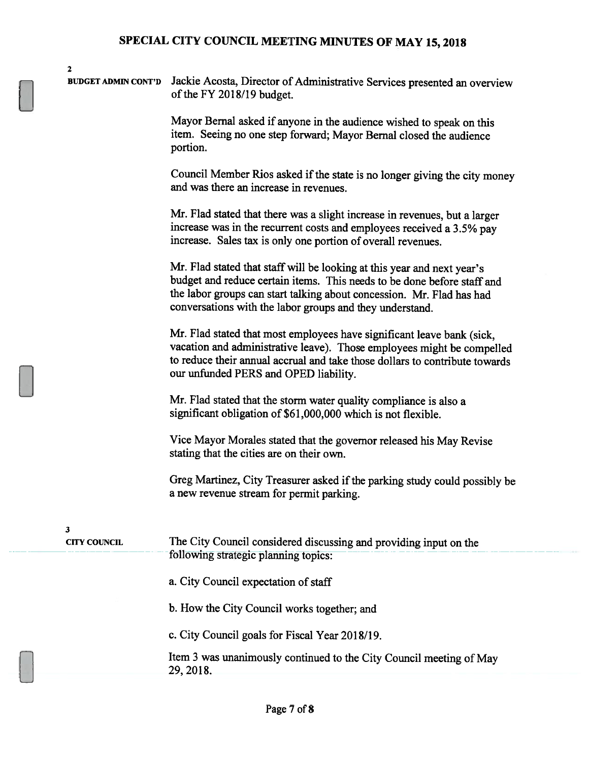| $\mathbf 2$                |                                                                                                                                                                                                                                                                                         |
|----------------------------|-----------------------------------------------------------------------------------------------------------------------------------------------------------------------------------------------------------------------------------------------------------------------------------------|
| <b>BUDGET ADMIN CONT'D</b> | Jackie Acosta, Director of Administrative Services presented an overview<br>of the FY 2018/19 budget.                                                                                                                                                                                   |
|                            | Mayor Bernal asked if anyone in the audience wished to speak on this<br>item. Seeing no one step forward; Mayor Bernal closed the audience<br>portion.                                                                                                                                  |
|                            | Council Member Rios asked if the state is no longer giving the city money<br>and was there an increase in revenues.                                                                                                                                                                     |
|                            | Mr. Flad stated that there was a slight increase in revenues, but a larger<br>increase was in the recurrent costs and employees received a 3.5% pay<br>increase. Sales tax is only one portion of overall revenues.                                                                     |
|                            | Mr. Flad stated that staff will be looking at this year and next year's<br>budget and reduce certain items. This needs to be done before staff and<br>the labor groups can start talking about concession. Mr. Flad has had<br>conversations with the labor groups and they understand. |
|                            | Mr. Flad stated that most employees have significant leave bank (sick,<br>vacation and administrative leave). Those employees might be compelled<br>to reduce their annual accrual and take those dollars to contribute towards<br>our unfunded PERS and OPED liability.                |
|                            | Mr. Flad stated that the storm water quality compliance is also a<br>significant obligation of \$61,000,000 which is not flexible.                                                                                                                                                      |
|                            | Vice Mayor Morales stated that the governor released his May Revise<br>stating that the cities are on their own.                                                                                                                                                                        |
|                            | Greg Martinez, City Treasurer asked if the parking study could possibly be<br>a new revenue stream for permit parking.                                                                                                                                                                  |
| 3                          |                                                                                                                                                                                                                                                                                         |
| <b>CITY COUNCIL</b>        | The City Council considered discussing and providing input on the<br>following strategic planning topics:                                                                                                                                                                               |
|                            | a. City Council expectation of staff                                                                                                                                                                                                                                                    |
|                            | b. How the City Council works together; and                                                                                                                                                                                                                                             |
|                            | c. City Council goals for Fiscal Year 2018/19.                                                                                                                                                                                                                                          |
|                            | Item 3 was unanimously continued to the City Council meeting of May<br>29, 2018.                                                                                                                                                                                                        |